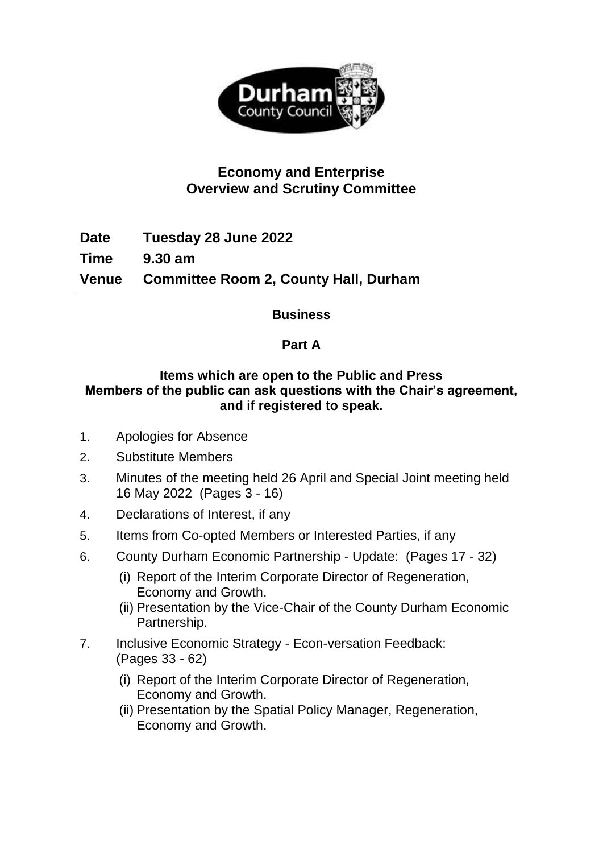

# **Economy and Enterprise Overview and Scrutiny Committee**

**Date Tuesday 28 June 2022 Time 9.30 am Venue Committee Room 2, County Hall, Durham**

### **Business**

### **Part A**

#### **Items which are open to the Public and Press Members of the public can ask questions with the Chair's agreement, and if registered to speak.**

- 1. Apologies for Absence
- 2. Substitute Members
- 3. Minutes of the meeting held 26 April and Special Joint meeting held 16 May 2022(Pages 3 - 16)
- 4. Declarations of Interest, if any
- 5. Items from Co-opted Members or Interested Parties, if any
- 6. County Durham Economic Partnership Update: (Pages 17 32)
	- (i) Report of the Interim Corporate Director of Regeneration, Economy and Growth.
	- (ii) Presentation by the Vice-Chair of the County Durham Economic Partnership.
- 7. Inclusive Economic Strategy Econ-versation Feedback: (Pages 33 - 62)
	- (i) Report of the Interim Corporate Director of Regeneration, Economy and Growth.
	- (ii) Presentation by the Spatial Policy Manager, Regeneration, Economy and Growth.